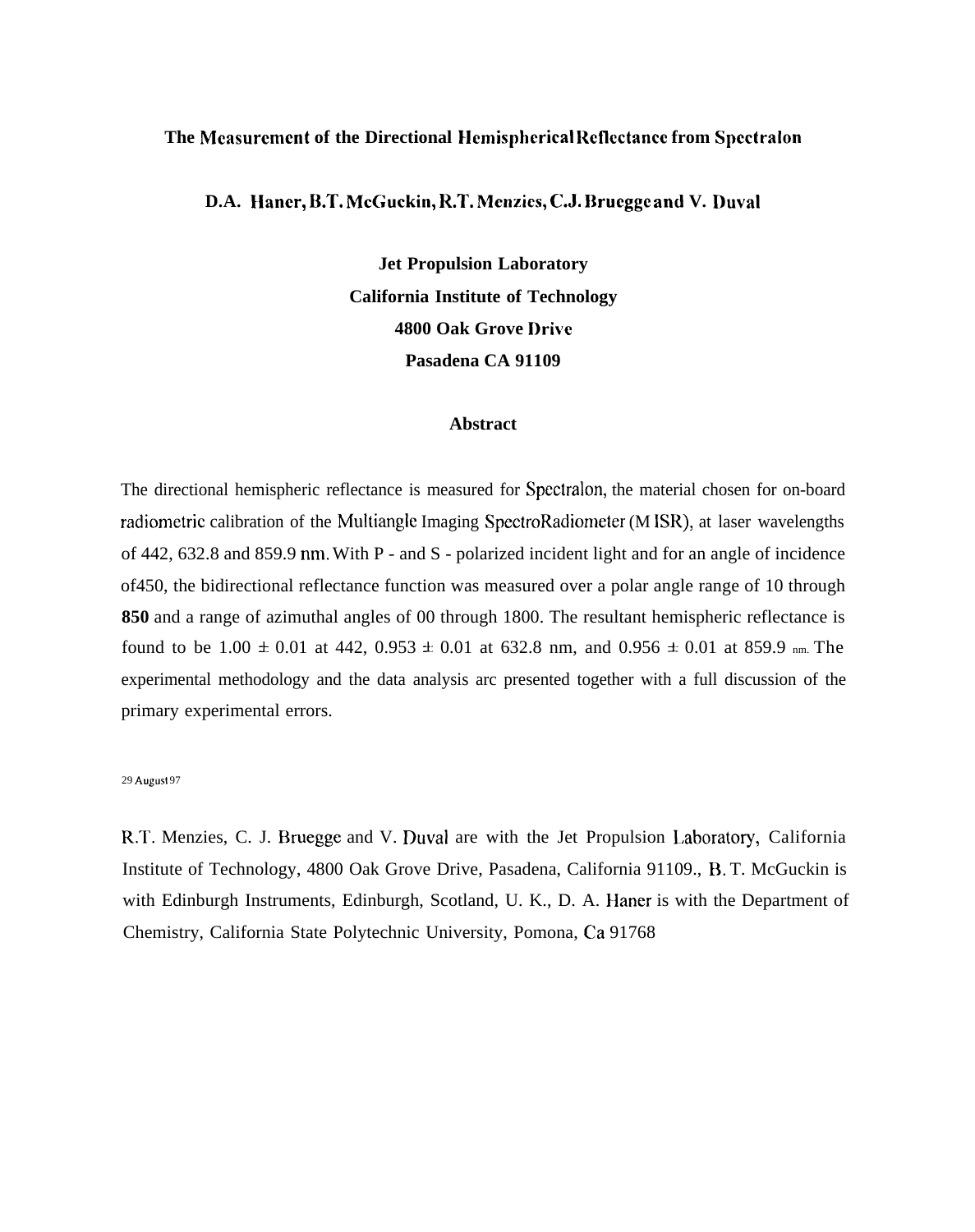#### **The Mcasurcmcnt of the Directional Hcrnisphcrical Rcflcctancc from Spcctralon**

**D.A. Haner, B.T. McGuckin, R.T. Mcnzics, C.J. Brucggc and V. Duval**

**Jet Propulsion Laboratory California Institute of Technology 4800 Oak Grove I)rivc Pasadena CA 91109**

#### **Abstract**

The directional hemispheric reflectance is measured for Spectralon, the material chosen for on-board radiometric calibration of the Multiangle Imaging SpectroRadiometer (M ISR), at laser wavelengths of 442, 632.8 and 859.9 nm. With P - and S - polarized incident light and for an angle of incidence of450, the bidirectional reflectance function was measured over a polar angle range of 10 through **850** and a range of azimuthal angles of 00 through 1800. The resultant hemispheric reflectance is found to be 1.00  $\pm$  0.01 at 442, 0.953  $\pm$  0.01 at 632.8 nm, and 0.956  $\pm$  0.01 at 859.9 nm. The experimental methodology and the data analysis arc presented together with a full discussion of the primary experimental errors.

#### 29 August 97

R.T. Menzies, C. J. Bruegge and V. Duval are with the Jet Propulsion Laboratory, California Institute of Technology, 4800 Oak Grove Drive, Pasadena, California 91109., R. T. McGuckin is with Edinburgh Instruments, Edinburgh, Scotland, U. K., D. A. Haner is with the Department of Chemistry, California State Polytechnic University, Pomona, Ca 91768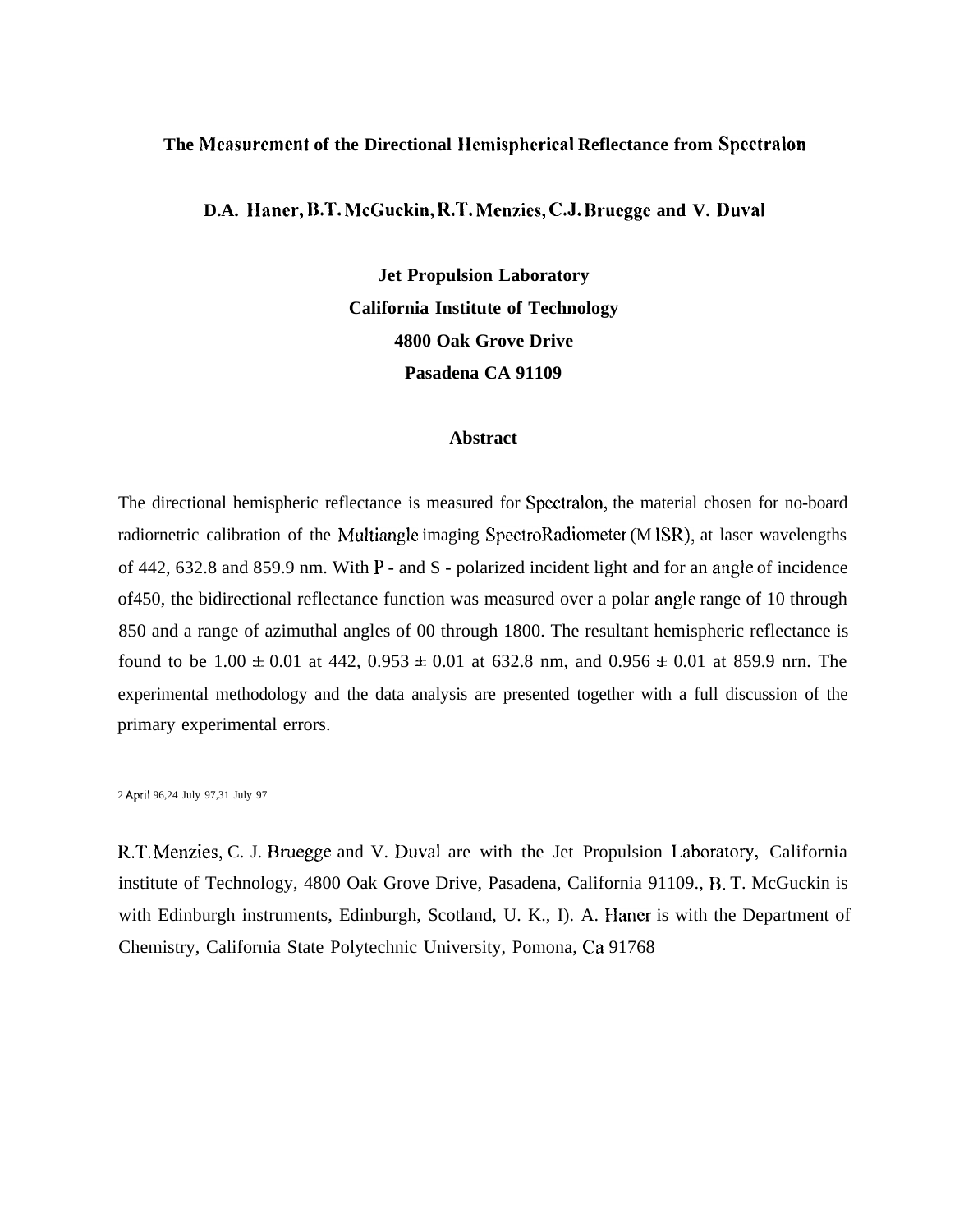#### **The Mcasurcmcnt of the Directional Ilcmisphcrical Reflectance from Spcctralon**

**D.A. IIancr, RT. McGuckin, R.T. Mcnzics, C.J. Ilrucgge and V. Duval**

**Jet Propulsion Laboratory California Institute of Technology 4800 Oak Grove Drive Pasadena CA 91109**

#### **Abstract**

The directional hemispheric reflectance is measured for Spcctralon, the material chosen for no-board radiornetric calibration of the Multiangle imaging SpectroRadiometer (M ISR), at laser wavelengths of 442, 632.8 and 859.9 nm. With P - and S - polarized incident light and for an angle of incidence of450, the bidirectional reflectance function was measured over a polar angle range of 10 through 850 and a range of azimuthal angles of 00 through 1800. The resultant hemispheric reflectance is found to be  $1.00 \pm 0.01$  at  $442$ ,  $0.953 \pm 0.01$  at  $632.8$  nm, and  $0.956 \pm 0.01$  at  $859.9$  nrn. The experimental methodology and the data analysis are presented together with a full discussion of the primary experimental errors.

2 April 96,24 July 97,31 July 97

R.T. Menzies, C. J. Bruegge and V. Duval are with the Jet Propulsion Laboratory, California institute of Technology, 4800 Oak Grove Drive, Pasadena, California 91109., B. T. McGuckin is with Edinburgh instruments, Edinburgh, Scotland, U. K., I). A. Haner is with the Department of Chemistry, California State Polytechnic University, Pomona, Ca 91768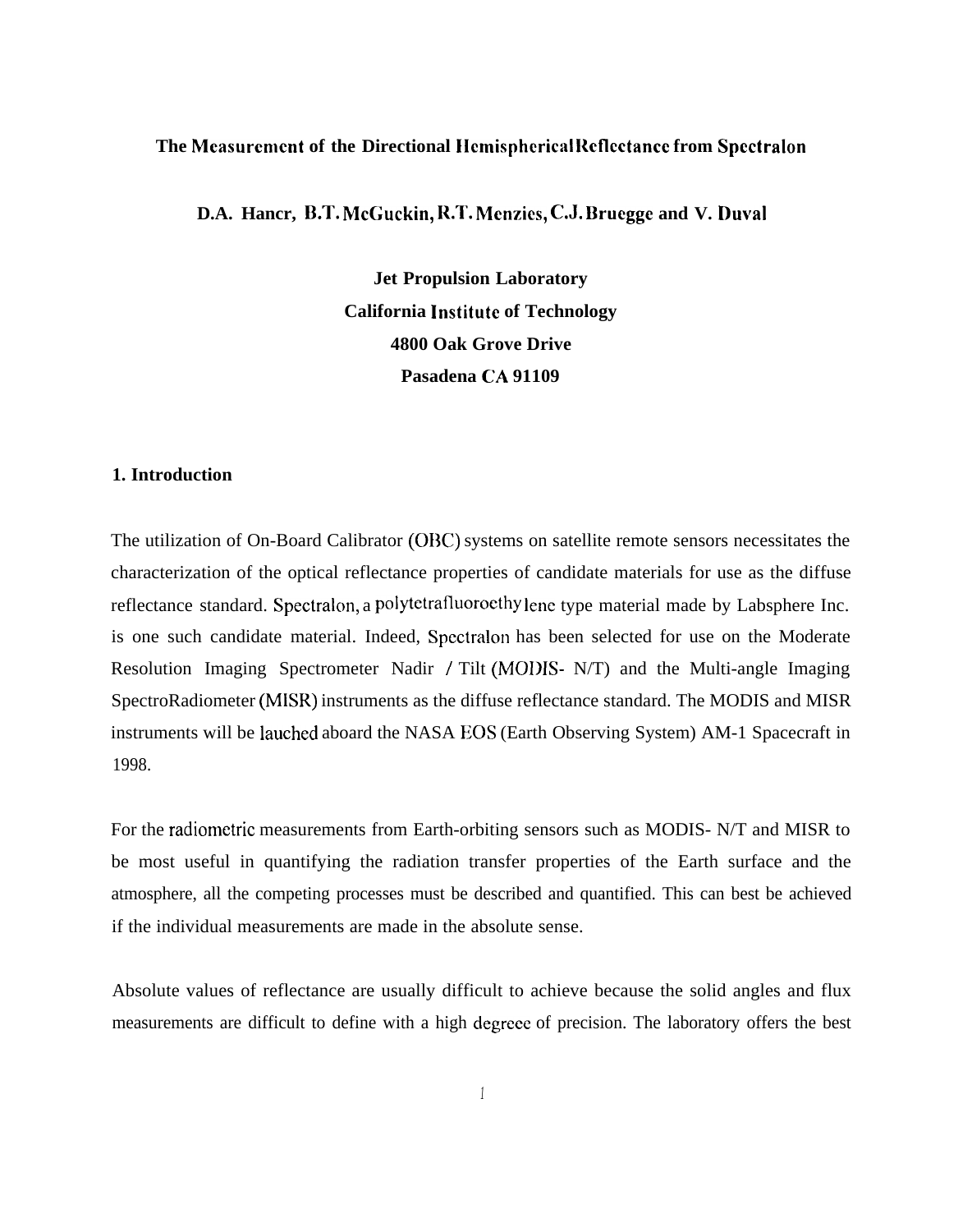### **The Mcasurcmcnt of the Directional IIcmisphcrical Rcflcctancc from Spcctralon**

**D.A. Hancr, B.T. McGuckin, R.T. Mcnzics, C.J. Brucggc and V. I)uval**

**Jet Propulsion Laboratory California lnstitutc of Technology 4800 Oak Grove Drive Pasadena CA 91109**

### **1. Introduction**

The utilization of On-Board Calibrator (OBC) systems on satellite remote sensors necessitates the characterization of the optical reflectance properties of candidate materials for use as the diffuse reflectance standard. Spectralon, a polytetrafluorocthy lenc type material made by Labsphere Inc. is one such candidate material. Indeed, Spcctralon has been selected for use on the Moderate Resolution Imaging Spectrometer Nadir / Tilt (MODIS- N/T) and the Multi-angle Imaging SpectroRadiometer (MISR) instruments as the diffuse reflectance standard. The MODIS and MISR instruments will be lauched aboard the NASA EOS (Earth Observing System) AM-1 Spacecraft in 1998.

For the radiometric measurements from Earth-orbiting sensors such as MODIS- N/T and MISR to be most useful in quantifying the radiation transfer properties of the Earth surface and the atmosphere, all the competing processes must be described and quantified. This can best be achieved if the individual measurements are made in the absolute sense.

Absolute values of reflectance are usually difficult to achieve because the solid angles and flux measurements are difficult to define with a high degrece of precision. The laboratory offers the best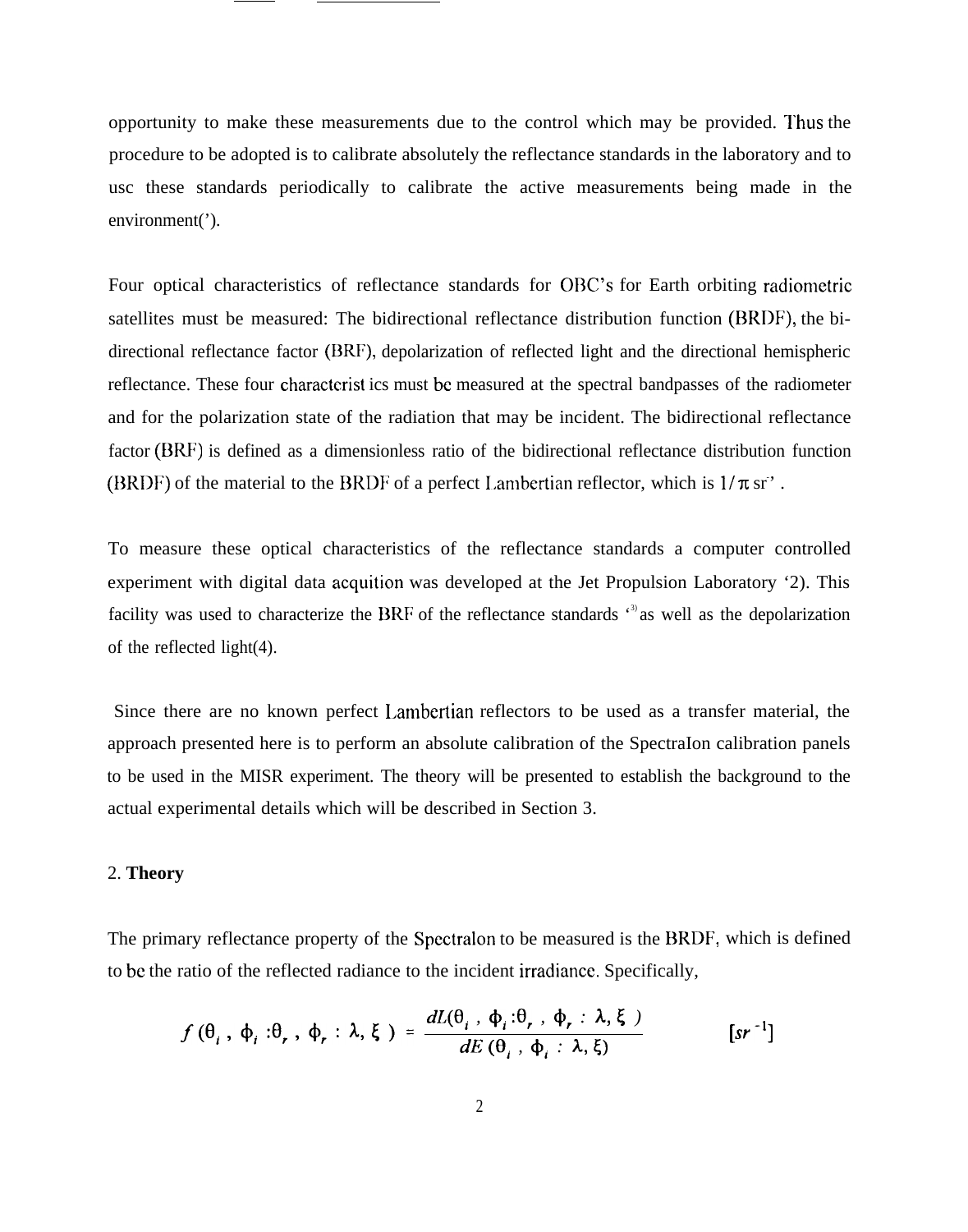opportunity to make these measurements due to the control which may be provided. I'hus the procedure to be adopted is to calibrate absolutely the reflectance standards in the laboratory and to usc these standards periodically to calibrate the active measurements being made in the environment(').

Four optical characteristics of reflectance standards for OBC'S for Earth orbiting radiometric satellites must be measured: The bidirectional reflectance distribution function (BRDF), the bidirectional reflectance factor (BRF), depolarization of reflected light and the directional hemispheric reflectance. These four charactcrist ics must bc measured at the spectral bandpasses of the radiometer and for the polarization state of the radiation that may be incident. The bidirectional reflectance factor (BRF) is defined as a dimensionless ratio of the bidirectional reflectance distribution function (BRDF) of the material to the BRDF of a perfect Lambertian reflector, which is  $1/\pi$  sr<sup>3</sup>.

To measure these optical characteristics of the reflectance standards a computer controlled experiment with digital data acquition was developed at the Jet Propulsion Laboratory '2). This facility was used to characterize the BRF of the reflectance standards  $\cdot$ <sup>3</sup> as well as the depolarization of the reflected light(4).

Since there are no known perfect Lambertian reflectors to be used as a transfer material, the approach presented here is to perform an absolute calibration of the SpectraIon calibration panels to be used in the MISR experiment. The theory will be presented to establish the background to the actual experimental details which will be described in Section 3.

#### 2. **Theory**

The primary reflectance property of the Spcctralon to be measured is the BRDF, which is defined to bc the ratio of the reflected radiance to the incident irradiancc. Specifically,

$$
f(\theta_i, \phi_i : \theta_r, \phi_r : \lambda, \xi) = \frac{dL(\theta_i, \phi_i : \theta_r, \phi_r : \lambda, \xi)}{dE(\theta_i, \phi_i : \lambda, \xi)}
$$
 [sr<sup>-1</sup>]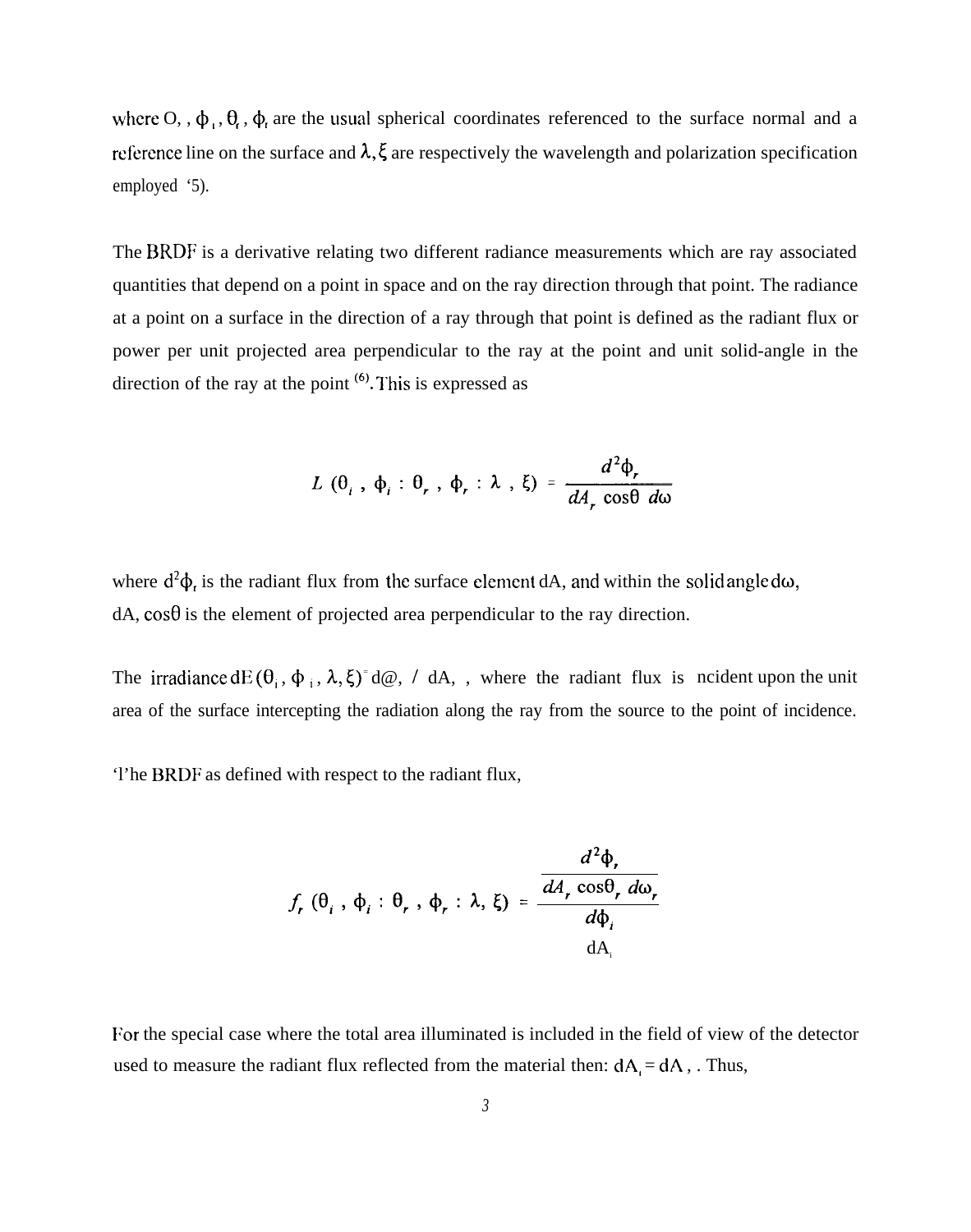where O, ,  $\phi_1$ ,  $\theta_2$ ,  $\phi_3$  are the usual spherical coordinates referenced to the surface normal and a reference line on the surface and  $\lambda$ ,  $\xi$  are respectively the wavelength and polarization specification employed '5).

The BRDF is a derivative relating two different radiance measurements which are ray associated quantities that depend on a point in space and on the ray direction through that point. The radiance at a point on a surface in the direction of a ray through that point is defined as the radiant flux or power per unit projected area perpendicular to the ray at the point and unit solid-angle in the direction of the ray at the point  $(6)$ . This is expressed as

$$
L(\theta_i, \phi_i : \theta_r, \phi_r : \lambda, \xi) = \frac{d^2 \phi_r}{dA_r \cos\theta d\omega}
$$

where  $d^2\phi_r$  is the radiant flux from the surface element dA, and within the solid angle d $\omega$ ,  $dA$ ,  $\cos\theta$  is the element of projected area perpendicular to the ray direction.

The irradiance dE  $(\theta_i, \phi_i, \lambda, \xi)^{-}d\omega$ , / dA, , where the radiant flux is ncident upon the unit area of the surface intercepting the radiation along the ray from the source to the point of incidence.

The BRDF as defined with respect to the radiant flux,

$$
f_r(\theta_i, \phi_i : \theta_r, \phi_r : \lambda, \xi) = \frac{\frac{d^2 \phi_r}{d A_r \cos \theta_r d \omega_r}}{d \phi_i}
$$

For the special case where the total area illuminated is included in the field of view of the detector used to measure the radiant flux reflected from the material then:  $dA_i = dA$ , Thus,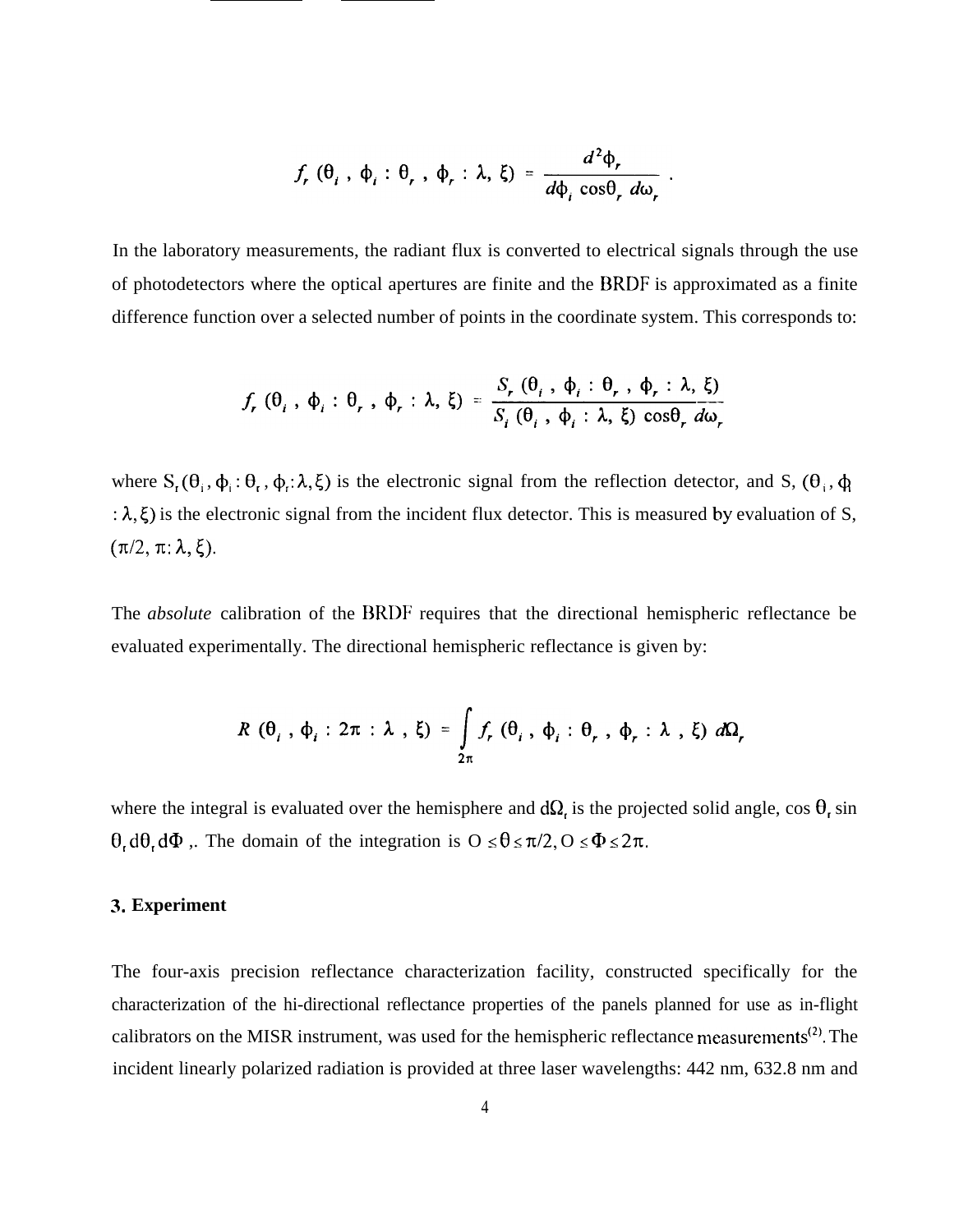$$
f_r
$$
 ( $\theta_i$ ,  $\phi_i$  :  $\theta_r$ ,  $\phi_r$  :  $\lambda$ ,  $\xi$ ) = 
$$
\frac{d^2 \phi_r}{d\phi_i \cos\theta_r d\omega_r}
$$

In the laboratory measurements, the radiant flux is converted to electrical signals through the use of photodetectors where the optical apertures are finite and the 13RDF is approximated as a finite difference function over a selected number of points in the coordinate system. This corresponds to:

$$
f_r(\theta_i, \phi_i : \theta_r, \phi_r : \lambda, \xi) = \frac{S_r(\theta_i, \phi_i : \theta_r, \phi_r : \lambda, \xi)}{S_i(\theta_i, \phi_i : \lambda, \xi) \cos \theta_r d\omega_r}
$$

where  $S_r(\theta_i, \phi_i : \theta_r, \phi_r; \lambda, \xi)$  is the electronic signal from the reflection detector, and S,  $(\theta_i, \phi_i)$ :  $\lambda$ ,  $\xi$ ) is the electronic signal from the incident flux detector. This is measured by evaluation of S,  $(\pi/2, \pi: \lambda, \xi).$ 

The *absolute* calibration of the BRDF requires that the directional hemispheric reflectance be evaluated experimentally. The directional hemispheric reflectance is given by:

$$
R(\theta_i, \phi_i : 2\pi : \lambda, \xi) = \int_{2\pi} f_r(\theta_i, \phi_i : \theta_r, \phi_r : \lambda, \xi) d\Omega_r
$$

where the integral is evaluated over the hemisphere and  $d\Omega$ , is the projected solid angle, cos  $\theta$ , sin  $\theta$ , d $\theta$ , d $\Phi$ . The domain of the integration is  $0 \le \theta \le \pi/2$ ,  $0 \le \Phi \le 2\pi$ .

#### **3. Experiment**

The four-axis precision reflectance characterization facility, constructed specifically for the characterization of the hi-directional reflectance properties of the panels planned for use as in-flight calibrators on the MISR instrument, was used for the hemispheric reflectance measurements<sup>(2)</sup>. The incident linearly polarized radiation is provided at three laser wavelengths: 442 nm, 632.8 nm and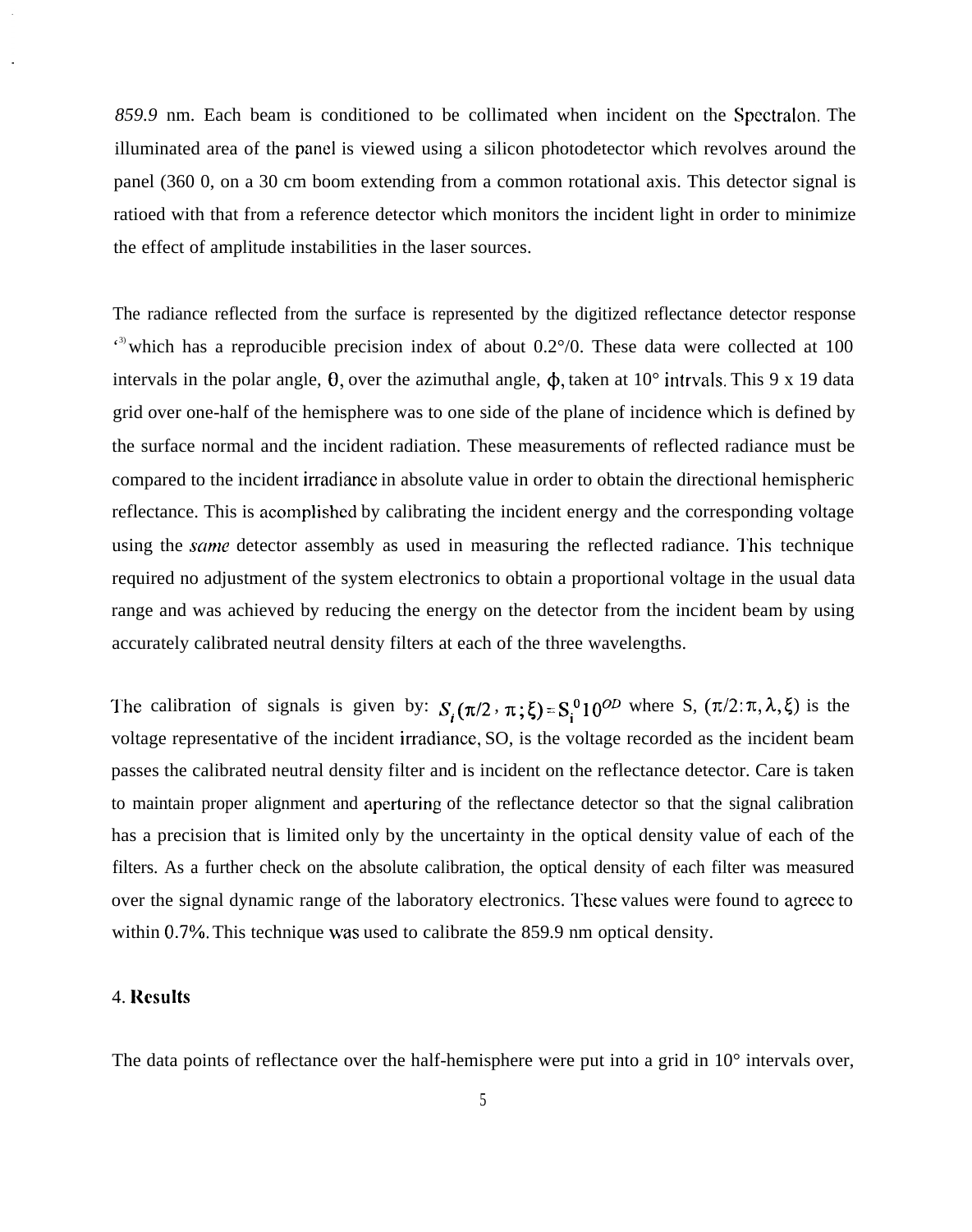*859.9* nm. Each beam is conditioned to be collimated when incident on the Spcctralon. The illuminated area of the panel is viewed using a silicon photodetector which revolves around the panel (360 0, on a 30 cm boom extending from a common rotational axis. This detector signal is ratioed with that from a reference detector which monitors the incident light in order to minimize the effect of amplitude instabilities in the laser sources.

The radiance reflected from the surface is represented by the digitized reflectance detector response  $\epsilon$ <sup>3)</sup> which has a reproducible precision index of about 0.2 $\degree$ /0. These data were collected at 100 intervals in the polar angle,  $\theta$ , over the azimuthal angle,  $\phi$ , taken at 10° intrvals. This 9 x 19 data grid over one-half of the hemisphere was to one side of the plane of incidence which is defined by the surface normal and the incident radiation. These measurements of reflected radiance must be compared to the incident irradiance in absolute value in order to obtain the directional hemispheric reflectance. This is acomplished by calibrating the incident energy and the corresponding voltage using the *same* detector assembly as used in measuring the reflected radiance. This technique required no adjustment of the system electronics to obtain a proportional voltage in the usual data range and was achieved by reducing the energy on the detector from the incident beam by using accurately calibrated neutral density filters at each of the three wavelengths.

The calibration of signals is given by:  $S_i(\pi/2, \pi; \xi) = S_i^0 10^{OD}$  where S,  $(\pi/2; \pi, \lambda, \xi)$  is the voltage representative of the incident irradiance, SO, is the voltage recorded as the incident beam passes the calibrated neutral density filter and is incident on the reflectance detector. Care is taken to maintain proper alignment and aperturing of the reflectance detector so that the signal calibration has a precision that is limited only by the uncertainty in the optical density value of each of the filters. As a further check on the absolute calibration, the optical density of each filter was measured over the signal dynamic range of the laboratory electronics. l'hese values were found to agrecc to within 0.7%. This technique was used to calibrate the 859.9 nm optical density.

#### 4. **l{csults**

The data points of reflectance over the half-hemisphere were put into a grid in 10° intervals over,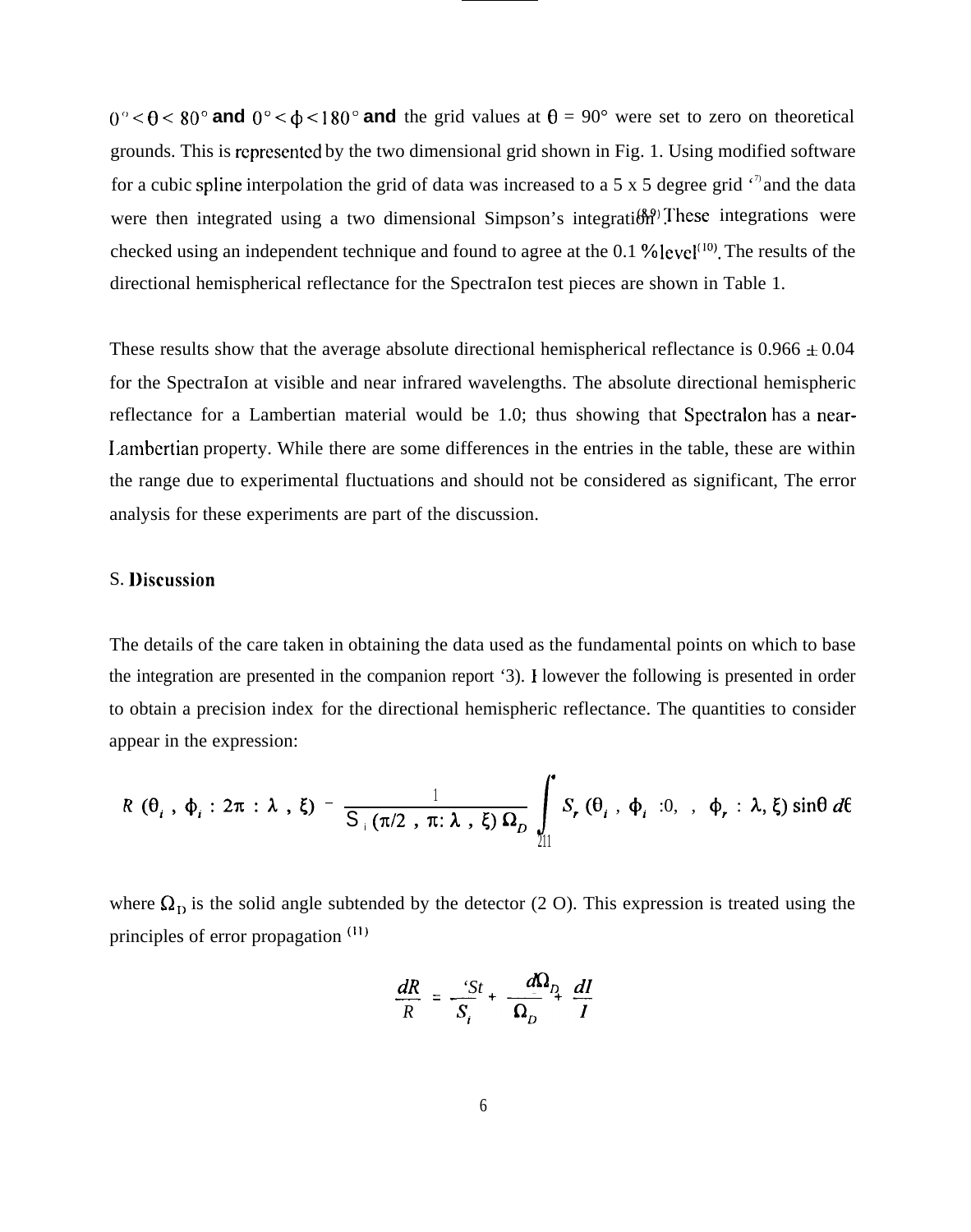$(0)^\circ < \theta < 80^\circ$  and  $0^\circ < \phi < 180^\circ$  and the grid values at  $\theta = 90^\circ$  were set to zero on theoretical grounds. This is rcprescntcd by the two dimensional grid shown in Fig. 1. Using modified software for a cubic spline interpolation the grid of data was increased to a 5 x 5 degree grid  $\cdot$ <sup>7</sup> and the data were then integrated using a two dimensional Simpson's integration. These integrations were checked using an independent technique and found to agree at the 0.1 % level<sup>(10)</sup>. The results of the directional hemispherical reflectance for the SpectraIon test pieces are shown in Table 1.

These results show that the average absolute directional hemispherical reflectance is  $0.966 \pm 0.04$ for the SpectraIon at visible and near infrared wavelengths. The absolute directional hemispheric reflectance for a Lambertian material would be 1.0; thus showing that Spcctralon has a near-I,ambertian property. While there are some differences in the entries in the table, these are within the range due to experimental fluctuations and should not be considered as significant, The error analysis for these experiments are part of the discussion.

#### S. **l)iscussion**

The details of the care taken in obtaining the data used as the fundamental points on which to base the integration are presented in the companion report '3). I lowever the following is presented in order to obtain a precision index for the directional hemispheric reflectance. The quantities to consider appear in the expression:

$$
R(\theta_i, \phi_i : 2\pi : \lambda, \xi) = \frac{1}{S_+(\pi/2, \pi : \lambda, \xi) \Omega_D} \int_{1}^{1} S_r(\theta_i, \phi_i : 0, \phi_r : \lambda, \xi) \sin\theta \ d\theta
$$

where  $\Omega_{\rm D}$  is the solid angle subtended by the detector (2 O). This expression is treated using the principles of error propagation  $(11)$ 

$$
\frac{dR}{R} = \frac{St}{S_i} + \frac{d\Omega_{D}}{\Omega_{D}} \frac{dI}{I}
$$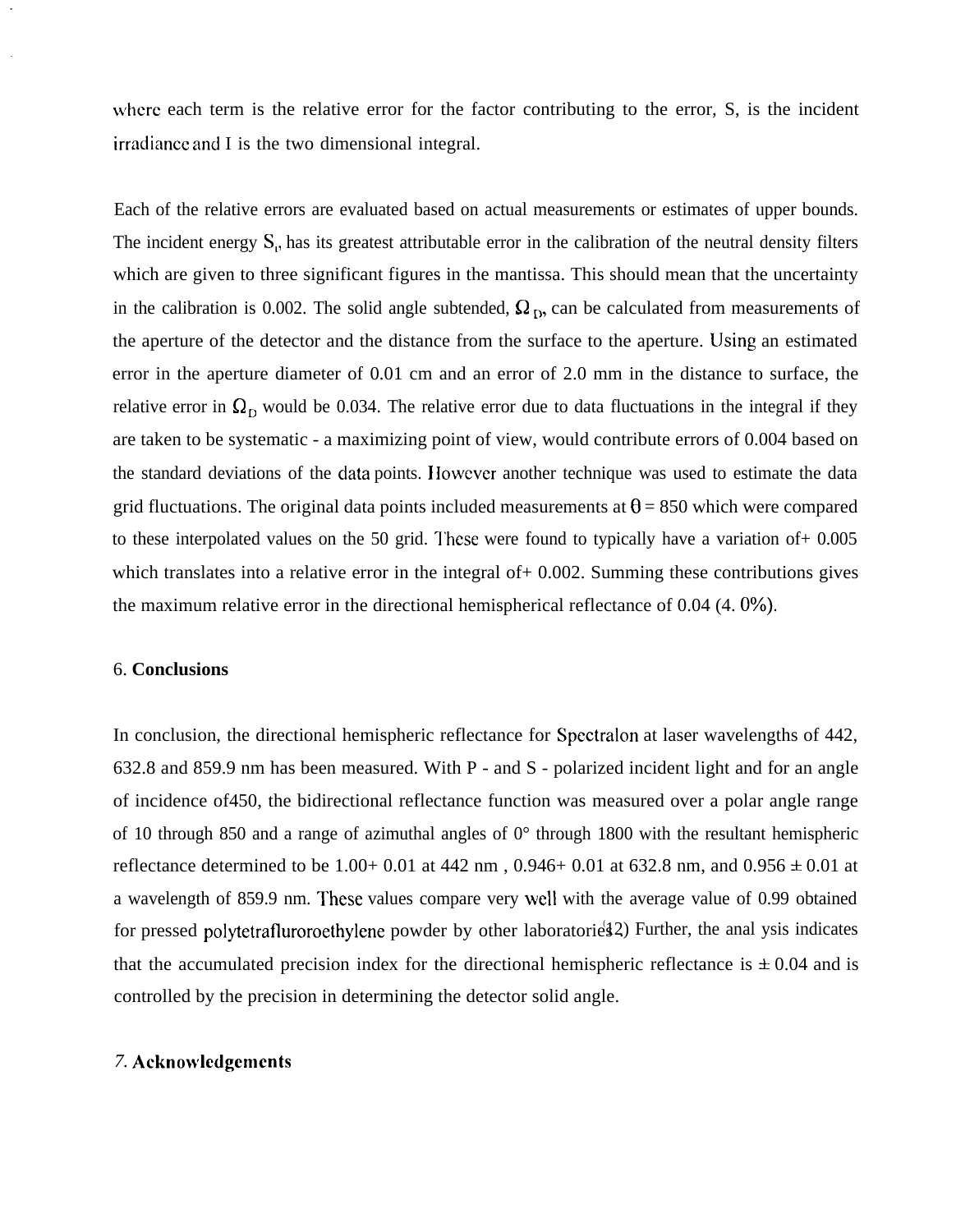where each term is the relative error for the factor contributing to the error, S, is the incident irradiancc and I is the two dimensional integral.

Each of the relative errors are evaluated based on actual measurements or estimates of upper bounds. The incident energy  $S_i$ , has its greatest attributable error in the calibration of the neutral density filters which are given to three significant figures in the mantissa. This should mean that the uncertainty in the calibration is 0.002. The solid angle subtended,  $\Omega_{D}$ , can be calculated from measurements of the aperture of the detector and the distance from the surface to the aperture. lJsing an estimated error in the aperture diameter of 0.01 cm and an error of 2.0 mm in the distance to surface, the relative error in  $\Omega_D$  would be 0.034. The relative error due to data fluctuations in the integral if they are taken to be systematic - a maximizing point of view, would contribute errors of 0.004 based on the standard deviations of the clata points. I Iowcver another technique was used to estimate the data grid fluctuations. The original data points included measurements at  $\theta$  = 850 which were compared to these interpolated values on the 50 grid. These were found to typically have a variation of  $+ 0.005$ which translates into a relative error in the integral of + 0.002. Summing these contributions gives the maximum relative error in the directional hemispherical reflectance of  $0.04$  (4.  $0\%$ ).

#### 6. **Conclusions**

In conclusion, the directional hemispheric reflectance for Spectralon at laser wavelengths of 442, 632.8 and 859.9 nm has been measured. With P - and S - polarized incident light and for an angle of incidence of450, the bidirectional reflectance function was measured over a polar angle range of 10 through 850 and a range of azimuthal angles of 0° through 1800 with the resultant hemispheric reflectance determined to be 1.00+ 0.01 at 442 nm, 0.946+ 0.01 at 632.8 nm, and 0.956  $\pm$  0.01 at a wavelength of 859.9 nm. These values compare very well with the average value of 0.99 obtained for pressed polytetrafluroroethylene powder by other laboratories 2) Further, the anal ysis indicates that the accumulated precision index for the directional hemispheric reflectance is  $\pm 0.04$  and is controlled by the precision in determining the detector solid angle.

#### *7.* **Acknowlcdgcmcnts**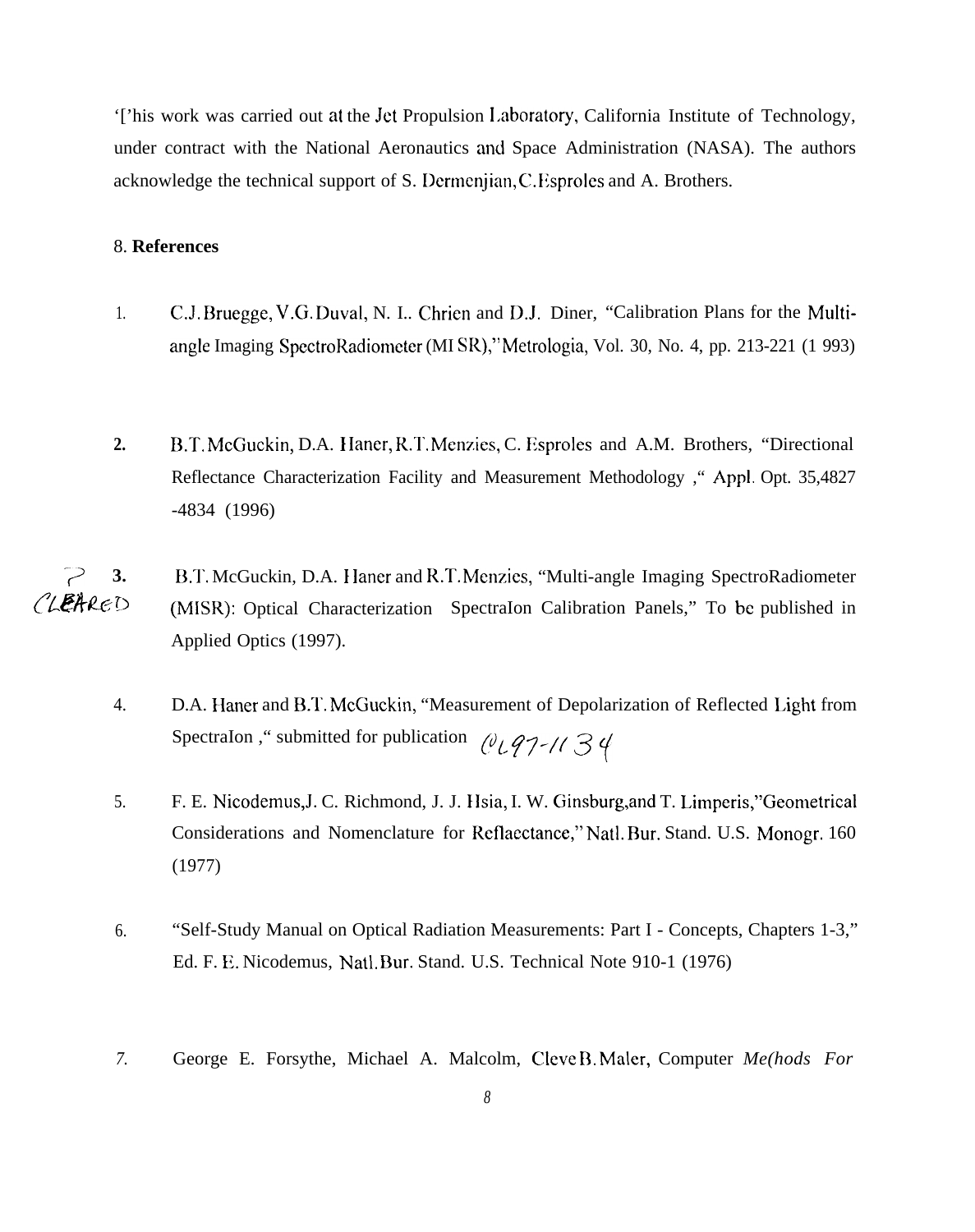'['his work was carried out at the Jet Propulsion 1,aboratory, California Institute of Technology, under contract with the National Aeronautics and Space Administration (NASA). The authors acknowledge the technical support of S. Dermenjian, C. Esproles and A. Brothers.

#### 8. **References**

- 1. C.J. Bruegge, V.G. Duval, N. I.. Chrien and D.J. Diner, "Calibration Plans for the Multiangle Imaging SpectroRadiometer (MI SR)," Metrologia, Vol. 30, No. 4, pp. 213-221 (1 993)
- 2. B.T. McGuckin, D.A. Haner, R.T. Menzies, C. Esproles and A.M. Brothers, "Directional Reflectance Characterization Facility and Measurement Methodology ," Appl. Opt. 35,4827 -4834 (1996)
- **"/ 3.** B.T. McGuckin, D.A. I Ianer and R.T. Mcnzics, "Multi-angle Imaging SpectroRadiometer  $CLERRED$  (MISR): Optical Characterization SpectraIon Calibration Panels," To be published in Applied Optics (1997).
	- 4. D.A. Haner and B.T. McGuckin, "Measurement of Depolarization of Reflected Light from SpectraIon, " submitted for publication  $\ell\ell\ell\ell\gamma$ -/(  $\beta\ell$
	- 5. F. E. Nicodemus,J. C. Richmond, J. J. IIsia, I. W. Ginsburg,and T. Limperis,''Geometrical Considerations and Nomenclature for Reflacctance," Natl. Bur. Stand. U.S. Monogr. 160 (1977)
	- 6. "Self-Study Manual on Optical Radiation Measurements: Part I Concepts, Chapters 1-3," Ed. F. E. Nicodemus, Natl. Bur. Stand. U.S. Technical Note 910-1 (1976)
	- *7.* George E. Forsythe, Michael A. Malcolm, Cleve B. Maler, Computer *Me(hods For*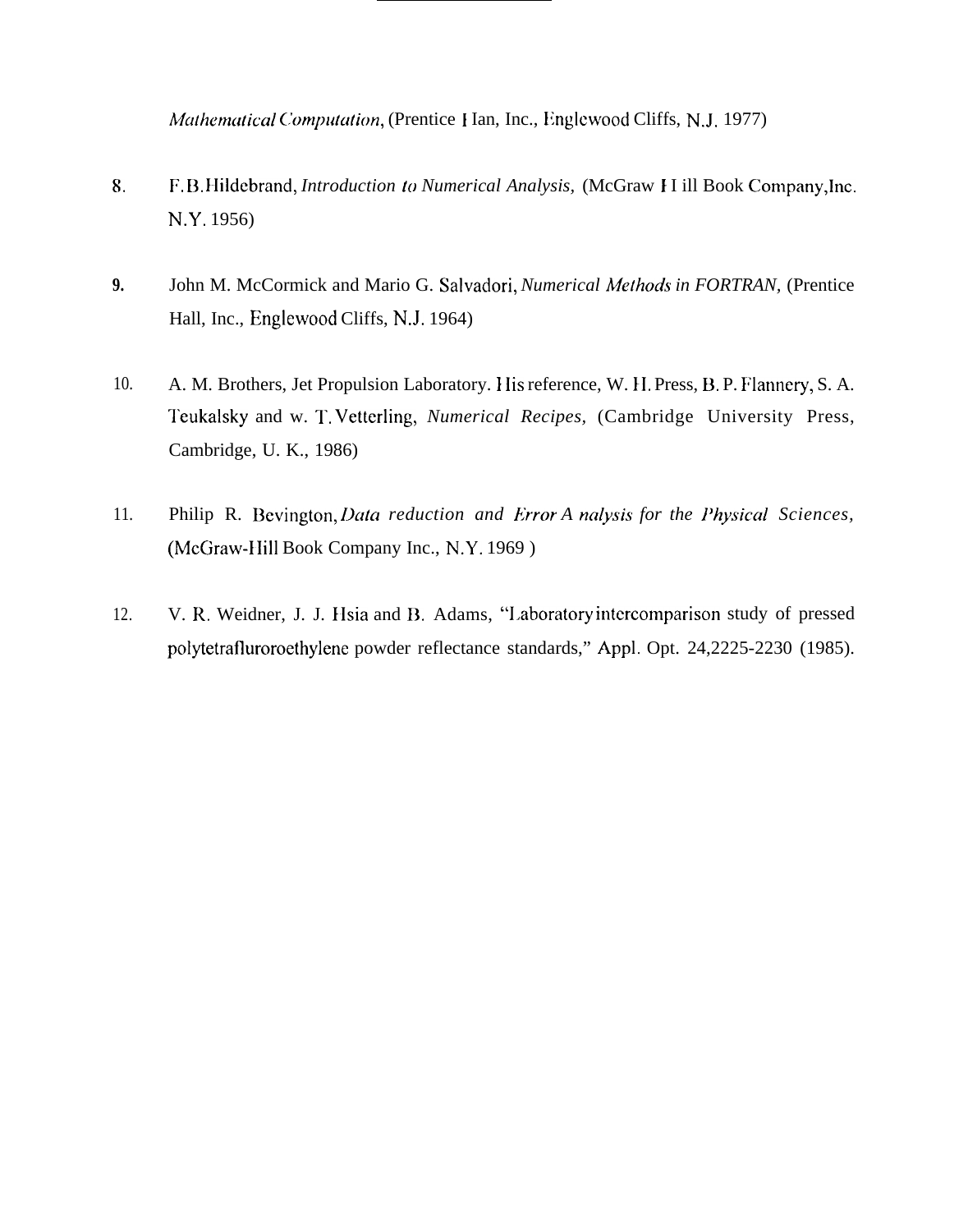Mathematical Computation, (Prentice Han, Inc., Englewood Cliffs, N.J. 1977)

- 8. F.B.Hildebrand, Introduction to Numerical Analysis, (McGraw H ill Book Company, Inc. N.Y. 1956)
- $9.$ John M. McCormick and Mario G. Salvadori, Numerical Methods in FORTRAN, (Prentice Hall, Inc., Englewood Cliffs, N.J. 1964)
- 10. A. M. Brothers, Jet Propulsion Laboratory. His reference, W. H. Press, B. P. Flannery, S. A. Teukalsky and w. T. Vetterling, Numerical Recipes, (Cambridge University Press, Cambridge, U. K., 1986)
- 11. Philip R. Bevington, Data reduction and Error A nalysis for the Physical Sciences, (McGraw-Hill Book Company Inc., N.Y. 1969)
- 12. V. R. Weidner, J. J. Hsia and B. Adams, "Laboratory intercomparison study of pressed polytetrafluroroethylene powder reflectance standards," Appl. Opt. 24,2225-2230 (1985).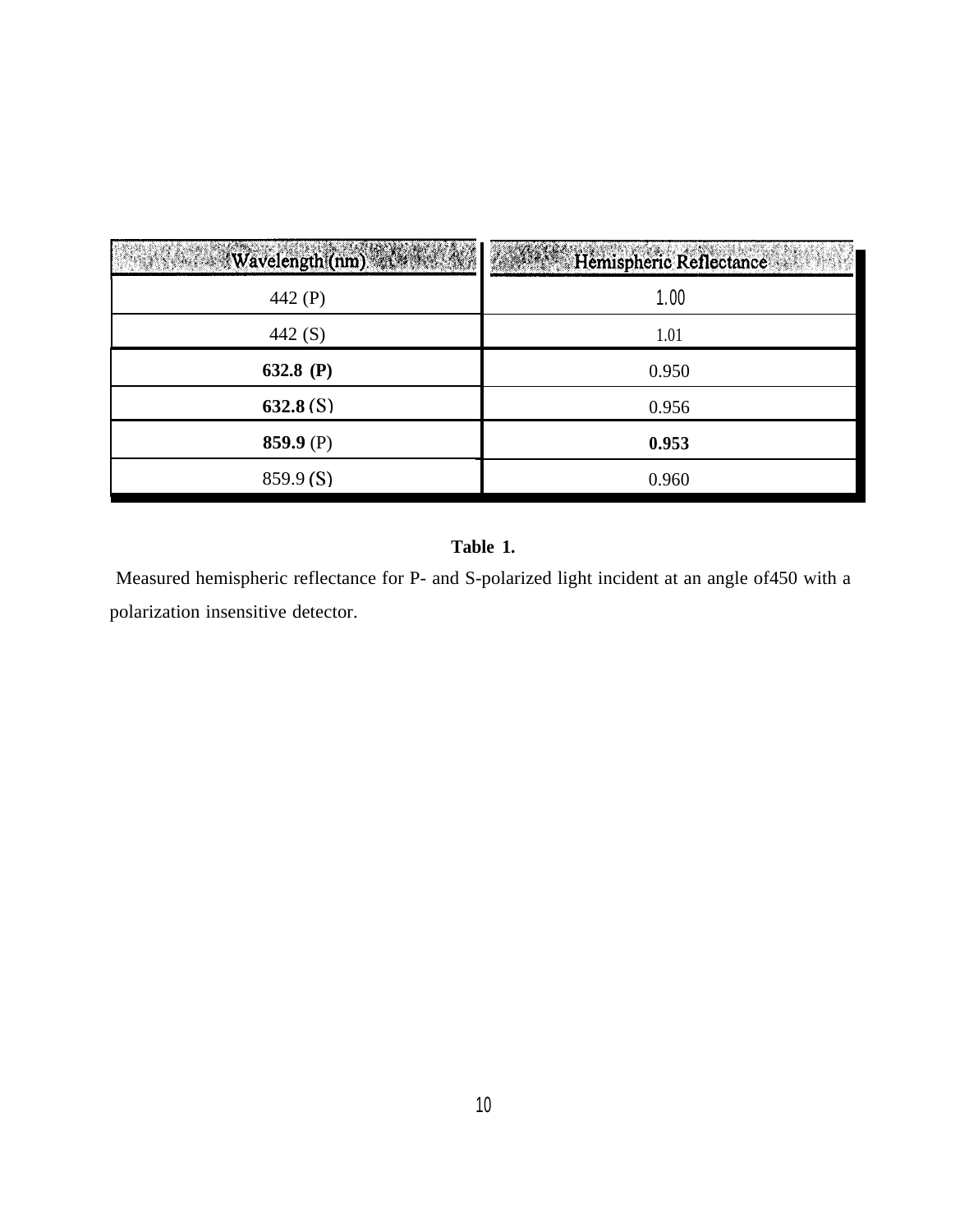| <b>Wavelength(nm)</b> | Hemispheric Reflectance |
|-----------------------|-------------------------|
| 442 (P)               | 1.00                    |
| 442 (S)               | 1.01                    |
| 632.8 (P)             | 0.950                   |
| 632.8(S)              | 0.956                   |
| 859.9 $(P)$           | 0.953                   |
| 859.9(S)              | 0.960                   |

# **Table 1.**

Measured hemispheric reflectance for P- and S-polarized light incident at an angle of450 with a polarization insensitive detector.